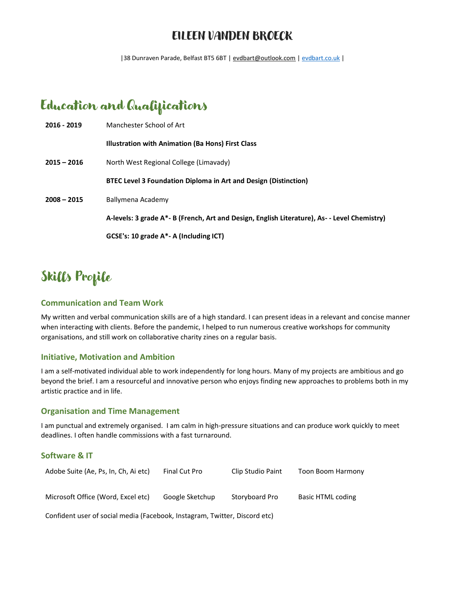### EILEEN VANDEN BROECK

|38 Dunraven Parade, Belfast BT5 6BT [| evdbart@outlook.com](mailto:evdbart@outlook.com) [| evdbart.co.uk](http://www.evdbart.co.uk/) |

## Education and Qualifications

| 2016 - 2019   | Manchester School of Art                                                                     |  |
|---------------|----------------------------------------------------------------------------------------------|--|
|               | Illustration with Animation (Ba Hons) First Class                                            |  |
| $2015 - 2016$ | North West Regional College (Limavady)                                                       |  |
|               | <b>BTEC Level 3 Foundation Diploma in Art and Design (Distinction)</b>                       |  |
| $2008 - 2015$ | Ballymena Academy                                                                            |  |
|               | A-levels: 3 grade A*- B (French, Art and Design, English Literature), As- - Level Chemistry) |  |
|               | GCSE's: 10 grade A*- A (Including ICT)                                                       |  |

## Skills Profile

#### **Communication and Team Work**

My written and verbal communication skills are of a high standard. I can present ideas in a relevant and concise manner when interacting with clients. Before the pandemic, I helped to run numerous creative workshops for community organisations, and still work on collaborative charity zines on a regular basis.

#### **Initiative, Motivation and Ambition**

I am a self-motivated individual able to work independently for long hours. Many of my projects are ambitious and go beyond the brief. I am a resourceful and innovative person who enjoys finding new approaches to problems both in my artistic practice and in life.

#### **Organisation and Time Management**

I am punctual and extremely organised. I am calm in high-pressure situations and can produce work quickly to meet deadlines. I often handle commissions with a fast turnaround.

#### **Software & IT**

| Adobe Suite (Ae, Ps, In, Ch, Ai etc) | Final Cut Pro   | Clip Studio Paint | Toon Boom Harmony |
|--------------------------------------|-----------------|-------------------|-------------------|
| Microsoft Office (Word, Excel etc)   | Google Sketchup | Storyboard Pro    | Basic HTML coding |

Confident user of social media (Facebook, Instagram, Twitter, Discord etc)